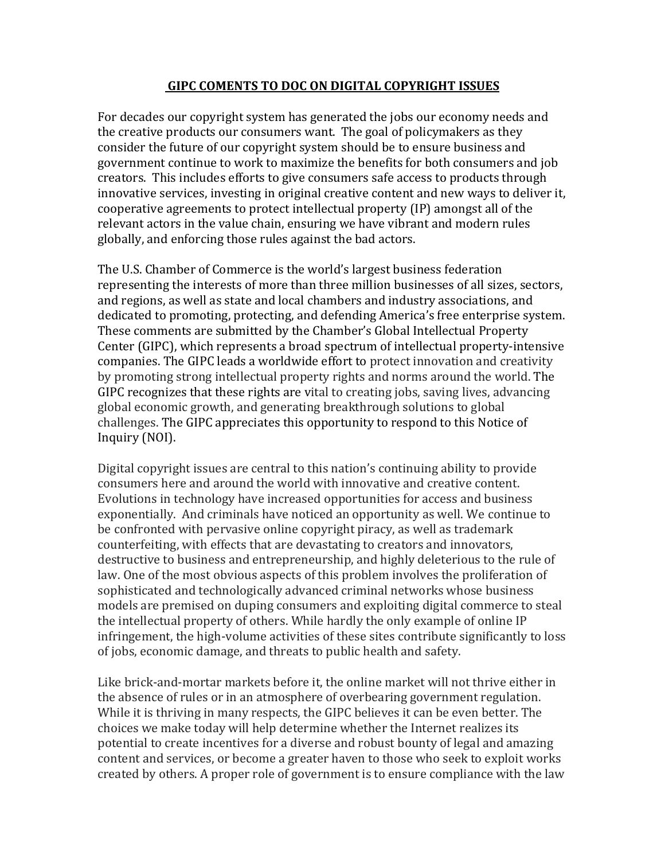#### **GIPC COMENTS TO DOC ON DIGITAL COPYRIGHT ISSUES**

For decades our copyright system has generated the jobs our economy needs and the creative products our consumers want. The goal of policymakers as they consider the future of our copyright system should be to ensure business and government continue to work to maximize the benefits for both consumers and job creators. This includes efforts to give consumers safe access to products through innovative services, investing in original creative content and new ways to deliver it, cooperative agreements to protect intellectual property (IP) amongst all of the relevant actors in the value chain, ensuring we have vibrant and modern rules globally, and enforcing those rules against the bad actors.

The U.S. Chamber of Commerce is the world's largest business federation representing the interests of more than three million businesses of all sizes, sectors, and regions, as well as state and local chambers and industry associations, and dedicated to promoting, protecting, and defending America's free enterprise system. These comments are submitted by the Chamber's Global Intellectual Property Center (GIPC), which represents a broad spectrum of intellectual property-intensive companies. The GIPC leads a worldwide effort to protect innovation and creativity by promoting strong intellectual property rights and norms around the world. The GIPC recognizes that these rights are vital to creating jobs, saving lives, advancing global economic growth, and generating breakthrough solutions to global challenges. The GIPC appreciates this opportunity to respond to this Notice of Inquiry (NOI).

Digital copyright issues are central to this nation's continuing ability to provide consumers here and around the world with innovative and creative content. Evolutions in technology have increased opportunities for access and business exponentially. And criminals have noticed an opportunity as well. We continue to be confronted with pervasive online copyright piracy, as well as trademark counterfeiting, with effects that are devastating to creators and innovators, destructive to business and entrepreneurship, and highly deleterious to the rule of law. One of the most obvious aspects of this problem involves the proliferation of sophisticated and technologically advanced criminal networks whose business models are premised on duping consumers and exploiting digital commerce to steal the intellectual property of others. While hardly the only example of online IP infringement, the high-volume activities of these sites contribute significantly to loss of jobs, economic damage, and threats to public health and safety.

Like brick-and-mortar markets before it, the online market will not thrive either in the absence of rules or in an atmosphere of overbearing government regulation. While it is thriving in many respects, the GIPC believes it can be even better. The choices we make today will help determine whether the Internet realizes its potential to create incentives for a diverse and robust bounty of legal and amazing content and services, or become a greater haven to those who seek to exploit works created by others. A proper role of government is to ensure compliance with the law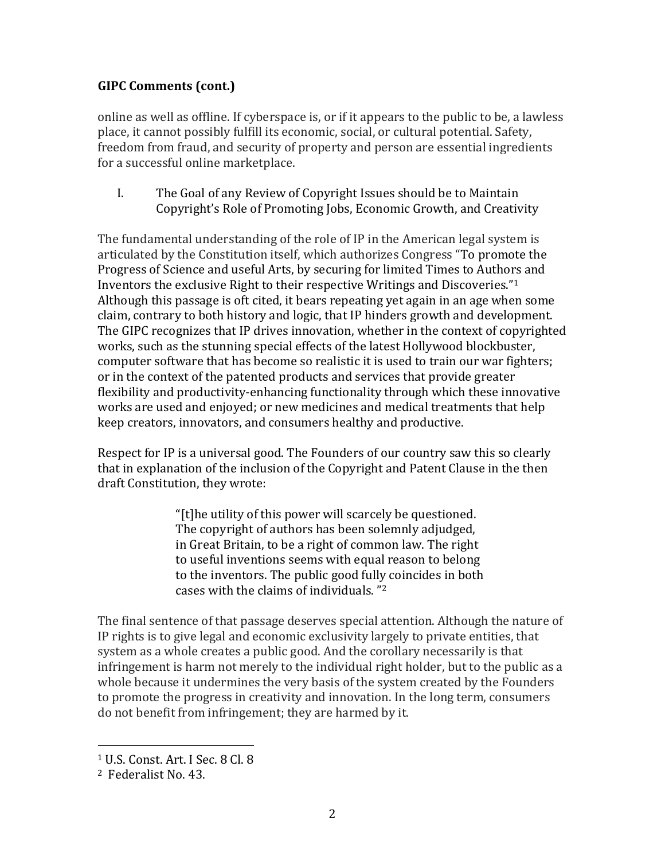online as well as offline. If cyberspace is, or if it appears to the public to be, a lawless place, it cannot possibly fulfill its economic, social, or cultural potential. Safety, freedom from fraud, and security of property and person are essential ingredients for a successful online marketplace.

I. The Goal of any Review of Copyright Issues should be to Maintain Copyright's Role of Promoting Jobs, Economic Growth, and Creativity

The fundamental understanding of the role of IP in the American legal system is articulated by the Constitution itself, which authorizes Congress "To promote the Progress of Science and useful Arts, by securing for limited Times to Authors and Inventors the exclusive Right to their respective Writings and Discoveries."<sup>1</sup> Although this passage is oft cited, it bears repeating yet again in an age when some claim, contrary to both history and logic, that IP hinders growth and development. The GIPC recognizes that IP drives innovation, whether in the context of copyrighted works, such as the stunning special effects of the latest Hollywood blockbuster, computer software that has become so realistic it is used to train our war fighters; or in the context of the patented products and services that provide greater flexibility and productivity-enhancing functionality through which these innovative works are used and enjoyed; or new medicines and medical treatments that help keep creators, innovators, and consumers healthy and productive.

Respect for IP is a universal good. The Founders of our country saw this so clearly that in explanation of the inclusion of the Copyright and Patent Clause in the then draft Constitution, they wrote:

> "[t]he utility of this power will scarcely be questioned. The copyright of authors has been solemnly adjudged, in Great Britain, to be a right of common law. The right to useful inventions seems with equal reason to belong to the inventors. The public good fully coincides in both cases with the claims of individuals. "<sup>2</sup>

The final sentence of that passage deserves special attention. Although the nature of IP rights is to give legal and economic exclusivity largely to private entities, that system as a whole creates a public good. And the corollary necessarily is that infringement is harm not merely to the individual right holder, but to the public as a whole because it undermines the very basis of the system created by the Founders to promote the progress in creativity and innovation. In the long term, consumers do not benefit from infringement; they are harmed by it.

<sup>1</sup> U.S. Const. Art. I Sec. 8 Cl. 8

<sup>2</sup> Federalist No. 43.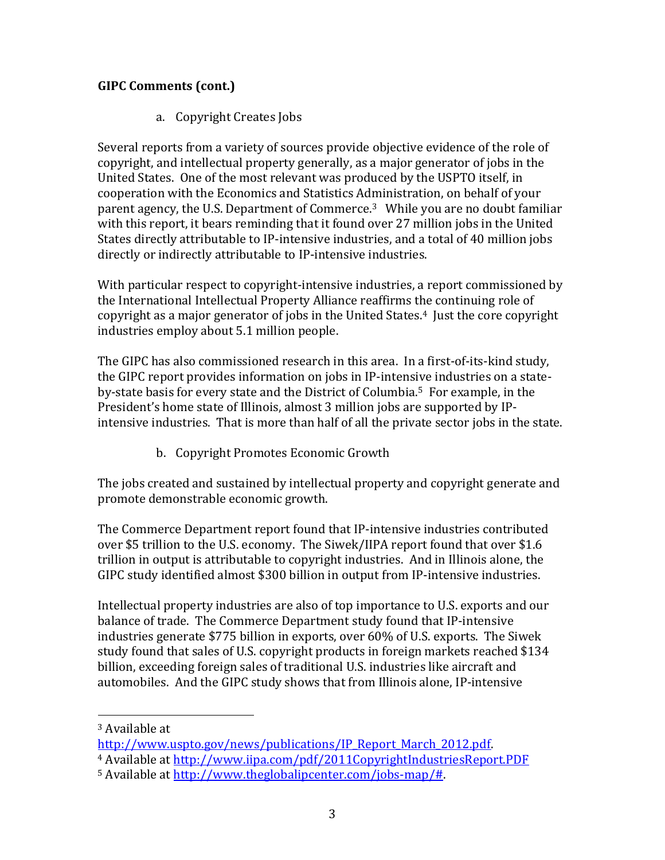a. Copyright Creates Jobs

Several reports from a variety of sources provide objective evidence of the role of copyright, and intellectual property generally, as a major generator of jobs in the United States. One of the most relevant was produced by the USPTO itself, in cooperation with the Economics and Statistics Administration, on behalf of your parent agency, the U.S. Department of Commerce.3 While you are no doubt familiar with this report, it bears reminding that it found over 27 million jobs in the United States directly attributable to IP-intensive industries, and a total of 40 million jobs directly or indirectly attributable to IP-intensive industries.

With particular respect to copyright-intensive industries, a report commissioned by the International Intellectual Property Alliance reaffirms the continuing role of copyright as a major generator of jobs in the United States.4 Just the core copyright industries employ about 5.1 million people.

The GIPC has also commissioned research in this area. In a first-of-its-kind study, the GIPC report provides information on jobs in IP-intensive industries on a stateby-state basis for every state and the District of Columbia.5 For example, in the President's home state of Illinois, almost 3 million jobs are supported by IPintensive industries. That is more than half of all the private sector jobs in the state.

b. Copyright Promotes Economic Growth

The jobs created and sustained by intellectual property and copyright generate and promote demonstrable economic growth.

The Commerce Department report found that IP-intensive industries contributed over \$5 trillion to the U.S. economy. The Siwek/IIPA report found that over \$1.6 trillion in output is attributable to copyright industries. And in Illinois alone, the GIPC study identified almost \$300 billion in output from IP-intensive industries.

Intellectual property industries are also of top importance to U.S. exports and our balance of trade. The Commerce Department study found that IP-intensive industries generate \$775 billion in exports, over 60% of U.S. exports. The Siwek study found that sales of U.S. copyright products in foreign markets reached \$134 billion, exceeding foreign sales of traditional U.S. industries like aircraft and automobiles. And the GIPC study shows that from Illinois alone, IP-intensive

<sup>3</sup> Available at

[http://www.uspto.gov/news/publications/IP\\_Report\\_March\\_2012.pdf.](http://www.uspto.gov/news/publications/IP_Report_March_2012.pdf)

<sup>4</sup> Available at<http://www.iipa.com/pdf/2011CopyrightIndustriesReport.PDF>

<sup>5</sup> Available at [http://www.theglobalipcenter.com/jobs-map/#.](http://www.theglobalipcenter.com/jobs-map/)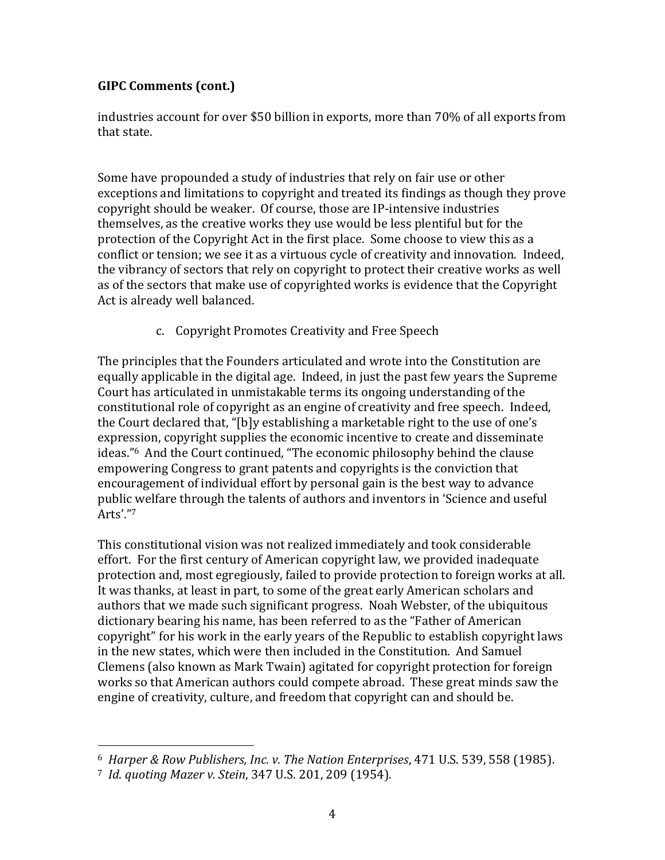industries account for over \$50 billion in exports, more than 70% of all exports from that state.

Some have propounded a study of industries that rely on fair use or other exceptions and limitations to copyright and treated its findings as though they prove copyright should be weaker. Of course, those are IP-intensive industries themselves, as the creative works they use would be less plentiful but for the protection of the Copyright Act in the first place. Some choose to view this as a conflict or tension; we see it as a virtuous cycle of creativity and innovation. Indeed, the vibrancy of sectors that rely on copyright to protect their creative works as well as of the sectors that make use of copyrighted works is evidence that the Copyright Act is already well balanced.

c. Copyright Promotes Creativity and Free Speech

The principles that the Founders articulated and wrote into the Constitution are equally applicable in the digital age. Indeed, in just the past few years the Supreme Court has articulated in unmistakable terms its ongoing understanding of the constitutional role of copyright as an engine of creativity and free speech. Indeed, the Court declared that, "[b]y establishing a marketable right to the use of one's expression, copyright supplies the economic incentive to create and disseminate ideas." <sup>6</sup> And the Court continued, "The economic philosophy behind the clause empowering Congress to grant patents and copyrights is the conviction that encouragement of individual effort by personal gain is the best way to advance public welfare through the talents of authors and inventors in 'Science and useful Arts'."<sup>7</sup>

This constitutional vision was not realized immediately and took considerable effort. For the first century of American copyright law, we provided inadequate protection and, most egregiously, failed to provide protection to foreign works at all. It was thanks, at least in part, to some of the great early American scholars and authors that we made such significant progress. Noah Webster, of the ubiquitous dictionary bearing his name, has been referred to as the "Father of American copyright" for his work in the early years of the Republic to establish copyright laws in the new states, which were then included in the Constitution. And Samuel Clemens (also known as Mark Twain) agitated for copyright protection for foreign works so that American authors could compete abroad. These great minds saw the engine of creativity, culture, and freedom that copyright can and should be.

<sup>6</sup> *Harper & Row Publishers, Inc. v. The Nation Enterprises*, 471 U.S. 539, 558 (1985).

<sup>7</sup> *Id*. *quoting Mazer v. Stein*, 347 U.S. 201, 209 (1954).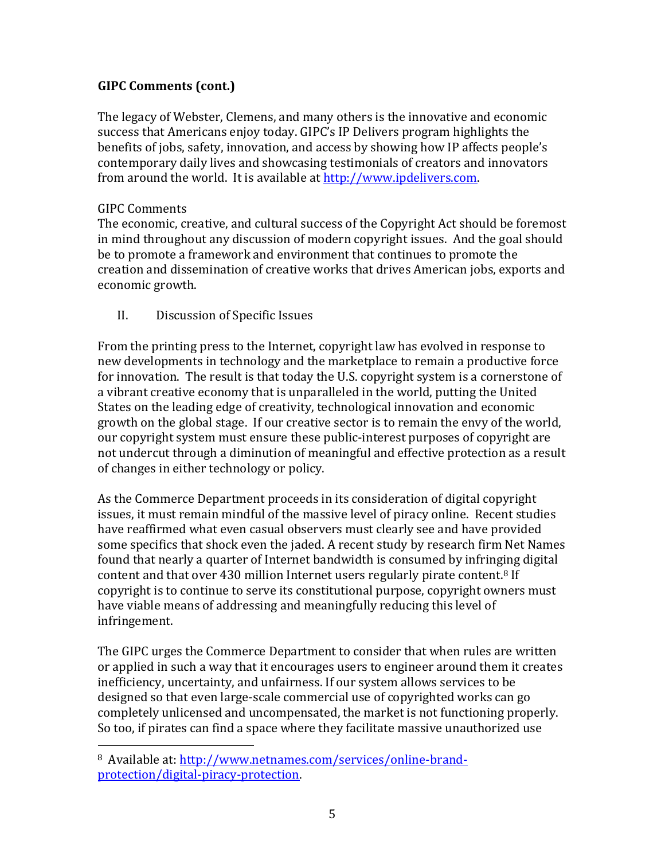The legacy of Webster, Clemens, and many others is the innovative and economic success that Americans enjoy today. GIPC's IP Delivers program highlights the benefits of jobs, safety, innovation, and access by showing how IP affects people's contemporary daily lives and showcasing testimonials of creators and innovators from around the world. It is available a[t http://www.ipdelivers.com.](http://www.ipdelivers.com/)

#### GIPC Comments

 $\overline{a}$ 

The economic, creative, and cultural success of the Copyright Act should be foremost in mind throughout any discussion of modern copyright issues. And the goal should be to promote a framework and environment that continues to promote the creation and dissemination of creative works that drives American jobs, exports and economic growth.

II. Discussion of Specific Issues

From the printing press to the Internet, copyright law has evolved in response to new developments in technology and the marketplace to remain a productive force for innovation. The result is that today the U.S. copyright system is a cornerstone of a vibrant creative economy that is unparalleled in the world, putting the United States on the leading edge of creativity, technological innovation and economic growth on the global stage. If our creative sector is to remain the envy of the world, our copyright system must ensure these public-interest purposes of copyright are not undercut through a diminution of meaningful and effective protection as a result of changes in either technology or policy.

As the Commerce Department proceeds in its consideration of digital copyright issues, it must remain mindful of the massive level of piracy online. Recent studies have reaffirmed what even casual observers must clearly see and have provided some specifics that shock even the jaded. A recent study by research firm Net Names found that nearly a quarter of Internet bandwidth is consumed by infringing digital content and that over 430 million Internet users regularly pirate content.<sup>8</sup> If copyright is to continue to serve its constitutional purpose, copyright owners must have viable means of addressing and meaningfully reducing this level of infringement.

The GIPC urges the Commerce Department to consider that when rules are written or applied in such a way that it encourages users to engineer around them it creates inefficiency, uncertainty, and unfairness. If our system allows services to be designed so that even large-scale commercial use of copyrighted works can go completely unlicensed and uncompensated, the market is not functioning properly. So too, if pirates can find a space where they facilitate massive unauthorized use

<sup>8</sup> Available at: [http://www.netnames.com/services/online-brand](http://www.netnames.com/services/online-brand-protection/digital-piracy-protection)[protection/digital-piracy-protection.](http://www.netnames.com/services/online-brand-protection/digital-piracy-protection)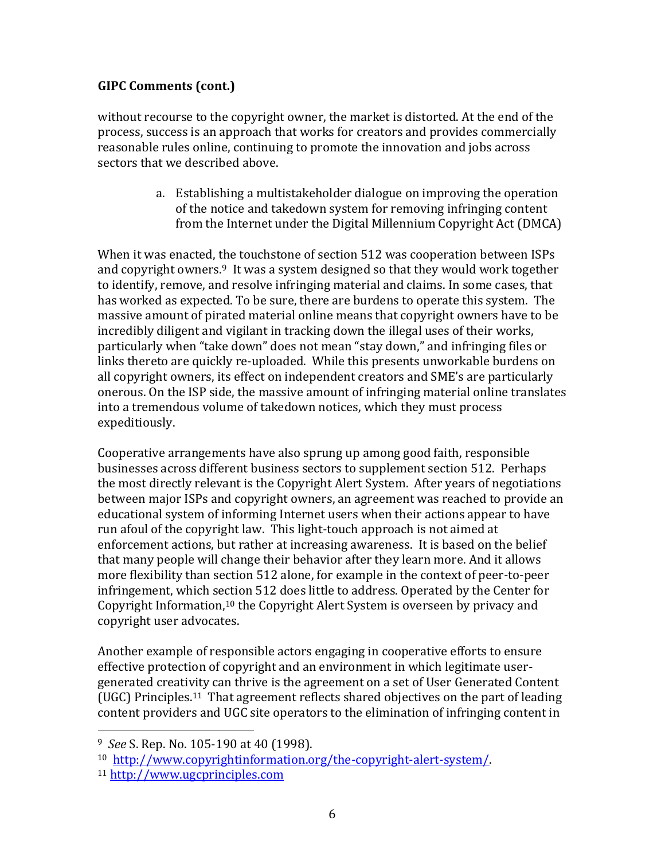without recourse to the copyright owner, the market is distorted. At the end of the process, success is an approach that works for creators and provides commercially reasonable rules online, continuing to promote the innovation and jobs across sectors that we described above.

> a. Establishing a multistakeholder dialogue on improving the operation of the notice and takedown system for removing infringing content from the Internet under the Digital Millennium Copyright Act (DMCA)

When it was enacted, the touchstone of section 512 was cooperation between ISPs and copyright owners. <sup>9</sup> It was a system designed so that they would work together to identify, remove, and resolve infringing material and claims. In some cases, that has worked as expected. To be sure, there are burdens to operate this system. The massive amount of pirated material online means that copyright owners have to be incredibly diligent and vigilant in tracking down the illegal uses of their works, particularly when "take down" does not mean "stay down," and infringing files or links thereto are quickly re-uploaded. While this presents unworkable burdens on all copyright owners, its effect on independent creators and SME's are particularly onerous. On the ISP side, the massive amount of infringing material online translates into a tremendous volume of takedown notices, which they must process expeditiously.

Cooperative arrangements have also sprung up among good faith, responsible businesses across different business sectors to supplement section 512. Perhaps the most directly relevant is the Copyright Alert System. After years of negotiations between major ISPs and copyright owners, an agreement was reached to provide an educational system of informing Internet users when their actions appear to have run afoul of the copyright law. This light-touch approach is not aimed at enforcement actions, but rather at increasing awareness. It is based on the belief that many people will change their behavior after they learn more. And it allows more flexibility than section 512 alone, for example in the context of peer-to-peer infringement, which section 512 does little to address. Operated by the Center for Copyright Information,<sup>10</sup> the Copyright Alert System is overseen by privacy and copyright user advocates.

Another example of responsible actors engaging in cooperative efforts to ensure effective protection of copyright and an environment in which legitimate usergenerated creativity can thrive is the agreement on a set of User Generated Content (UGC) Principles.11 That agreement reflects shared objectives on the part of leading content providers and UGC site operators to the elimination of infringing content in

<sup>9</sup> *See* S. Rep. No. 105-190 at 40 (1998).

<sup>10</sup> [http://www.copyrightinformation.org/the-copyright-alert-system/.](http://www.copyrightinformation.org/the-copyright-alert-system/)

<sup>11</sup> [http://www.ugcprinciples.com](http://www.ugcprinciples.com/)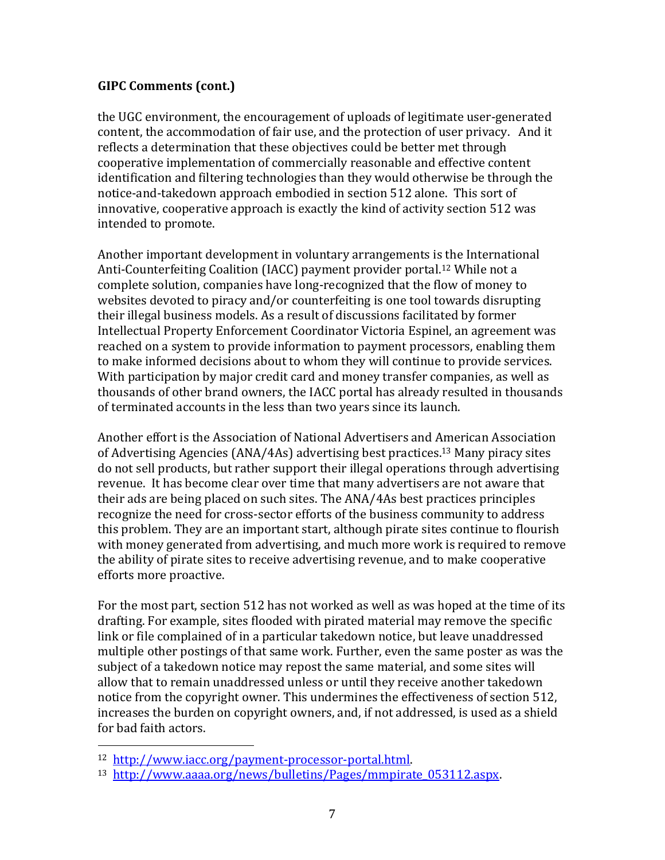the UGC environment, the encouragement of uploads of legitimate user-generated content, the accommodation of fair use, and the protection of user privacy. And it reflects a determination that these objectives could be better met through cooperative implementation of commercially reasonable and effective content identification and filtering technologies than they would otherwise be through the notice-and-takedown approach embodied in section 512 alone. This sort of innovative, cooperative approach is exactly the kind of activity section 512 was intended to promote.

Another important development in voluntary arrangements is the International Anti-Counterfeiting Coalition (IACC) payment provider portal. <sup>12</sup> While not a complete solution, companies have long-recognized that the flow of money to websites devoted to piracy and/or counterfeiting is one tool towards disrupting their illegal business models. As a result of discussions facilitated by former Intellectual Property Enforcement Coordinator Victoria Espinel, an agreement was reached on a system to provide information to payment processors, enabling them to make informed decisions about to whom they will continue to provide services. With participation by major credit card and money transfer companies, as well as thousands of other brand owners, the IACC portal has already resulted in thousands of terminated accounts in the less than two years since its launch.

Another effort is the Association of National Advertisers and American Association of Advertising Agencies (ANA/4As) advertising best practices. <sup>13</sup> Many piracy sites do not sell products, but rather support their illegal operations through advertising revenue. It has become clear over time that many advertisers are not aware that their ads are being placed on such sites. The ANA/4As best practices principles recognize the need for cross-sector efforts of the business community to address this problem. They are an important start, although pirate sites continue to flourish with money generated from advertising, and much more work is required to remove the ability of pirate sites to receive advertising revenue, and to make cooperative efforts more proactive.

For the most part, section 512 has not worked as well as was hoped at the time of its drafting. For example, sites flooded with pirated material may remove the specific link or file complained of in a particular takedown notice, but leave unaddressed multiple other postings of that same work. Further, even the same poster as was the subject of a takedown notice may repost the same material, and some sites will allow that to remain unaddressed unless or until they receive another takedown notice from the copyright owner. This undermines the effectiveness of section 512, increases the burden on copyright owners, and, if not addressed, is used as a shield for bad faith actors.

<sup>12</sup> [http://www.iacc.org/payment-processor-portal.html.](http://www.iacc.org/payment-processor-portal.html)

<sup>13</sup> [http://www.aaaa.org/news/bulletins/Pages/mmpirate\\_053112.aspx.](http://www.aaaa.org/news/bulletins/Pages/mmpirate_053112.aspx)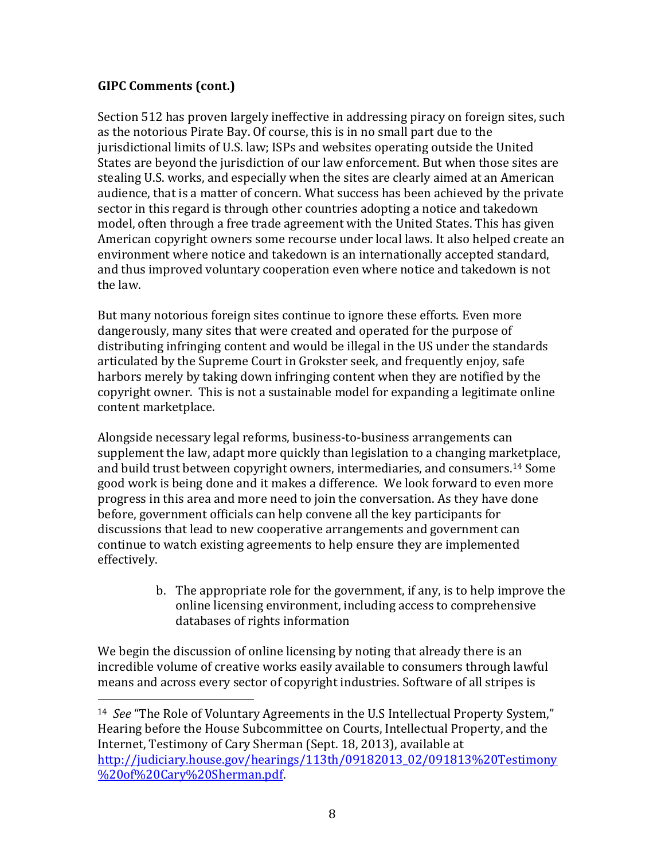l

Section 512 has proven largely ineffective in addressing piracy on foreign sites, such as the notorious Pirate Bay. Of course, this is in no small part due to the jurisdictional limits of U.S. law; ISPs and websites operating outside the United States are beyond the jurisdiction of our law enforcement. But when those sites are stealing U.S. works, and especially when the sites are clearly aimed at an American audience, that is a matter of concern. What success has been achieved by the private sector in this regard is through other countries adopting a notice and takedown model, often through a free trade agreement with the United States. This has given American copyright owners some recourse under local laws. It also helped create an environment where notice and takedown is an internationally accepted standard, and thus improved voluntary cooperation even where notice and takedown is not the law.

But many notorious foreign sites continue to ignore these efforts. Even more dangerously, many sites that were created and operated for the purpose of distributing infringing content and would be illegal in the US under the standards articulated by the Supreme Court in Grokster seek, and frequently enjoy, safe harbors merely by taking down infringing content when they are notified by the copyright owner. This is not a sustainable model for expanding a legitimate online content marketplace.

Alongside necessary legal reforms, business-to-business arrangements can supplement the law, adapt more quickly than legislation to a changing marketplace, and build trust between copyright owners, intermediaries, and consumers. <sup>14</sup> Some good work is being done and it makes a difference. We look forward to even more progress in this area and more need to join the conversation. As they have done before, government officials can help convene all the key participants for discussions that lead to new cooperative arrangements and government can continue to watch existing agreements to help ensure they are implemented effectively.

> b. The appropriate role for the government, if any, is to help improve the online licensing environment, including access to comprehensive databases of rights information

We begin the discussion of online licensing by noting that already there is an incredible volume of creative works easily available to consumers through lawful means and across every sector of copyright industries. Software of all stripes is

<sup>14</sup> *See* "The Role of Voluntary Agreements in the U.S Intellectual Property System," Hearing before the House Subcommittee on Courts, Intellectual Property, and the Internet, Testimony of Cary Sherman (Sept. 18, 2013), available at [http://judiciary.house.gov/hearings/113th/09182013\\_02/091813%20Testimony](http://judiciary.house.gov/hearings/113th/09182013_02/091813%20Testimony%20of%20Cary%20Sherman.pdf) [%20of%20Cary%20Sherman.pdf.](http://judiciary.house.gov/hearings/113th/09182013_02/091813%20Testimony%20of%20Cary%20Sherman.pdf)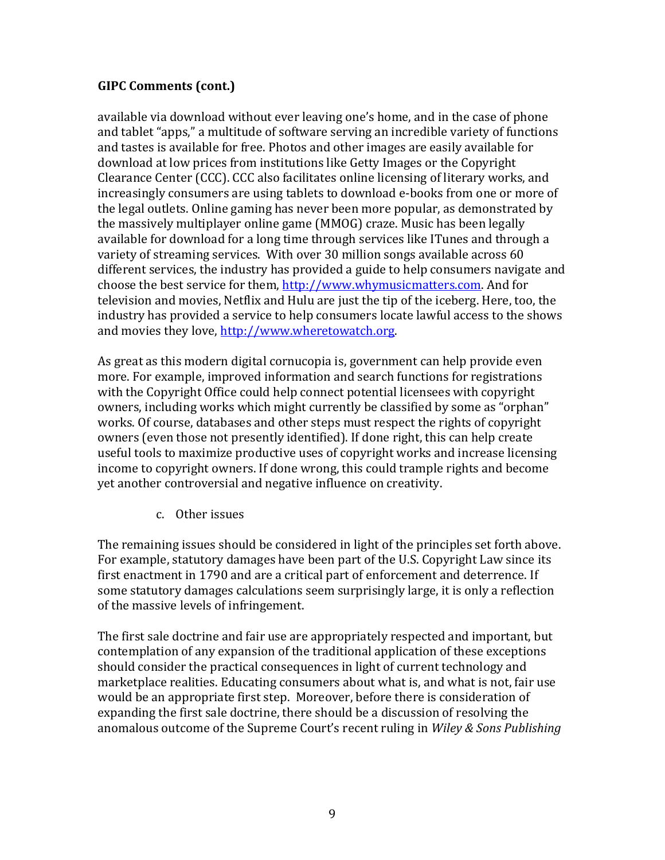available via download without ever leaving one's home, and in the case of phone and tablet "apps," a multitude of software serving an incredible variety of functions and tastes is available for free. Photos and other images are easily available for download at low prices from institutions like Getty Images or the Copyright Clearance Center (CCC). CCC also facilitates online licensing of literary works, and increasingly consumers are using tablets to download e-books from one or more of the legal outlets. Online gaming has never been more popular, as demonstrated by the massively multiplayer online game (MMOG) craze. Music has been legally available for download for a long time through services like ITunes and through a variety of streaming services. With over 30 million songs available across 60 different services, the industry has provided a guide to help consumers navigate and choose the best service for them, [http://www.whymusicmatters.com.](http://www.whymusicmatters.com/) And for television and movies, Netflix and Hulu are just the tip of the iceberg. Here, too, the industry has provided a service to help consumers locate lawful access to the shows and movies they love, [http://www.wheretowatch.org.](http://www.wheretowatch.org/)

As great as this modern digital cornucopia is, government can help provide even more. For example, improved information and search functions for registrations with the Copyright Office could help connect potential licensees with copyright owners, including works which might currently be classified by some as "orphan" works. Of course, databases and other steps must respect the rights of copyright owners (even those not presently identified). If done right, this can help create useful tools to maximize productive uses of copyright works and increase licensing income to copyright owners. If done wrong, this could trample rights and become yet another controversial and negative influence on creativity.

c. Other issues

The remaining issues should be considered in light of the principles set forth above. For example, statutory damages have been part of the U.S. Copyright Law since its first enactment in 1790 and are a critical part of enforcement and deterrence. If some statutory damages calculations seem surprisingly large, it is only a reflection of the massive levels of infringement.

The first sale doctrine and fair use are appropriately respected and important, but contemplation of any expansion of the traditional application of these exceptions should consider the practical consequences in light of current technology and marketplace realities. Educating consumers about what is, and what is not, fair use would be an appropriate first step. Moreover, before there is consideration of expanding the first sale doctrine, there should be a discussion of resolving the anomalous outcome of the Supreme Court's recent ruling in *Wiley & Sons Publishing*